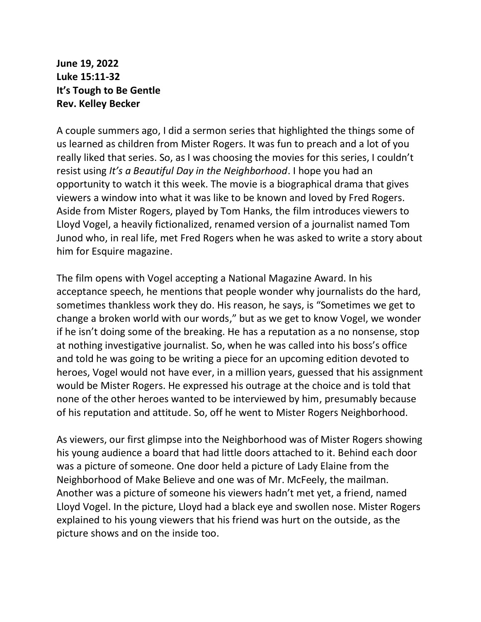**June 19, 2022 Luke 15:11-32 It's Tough to Be Gentle Rev. Kelley Becker**

A couple summers ago, I did a sermon series that highlighted the things some of us learned as children from Mister Rogers. It was fun to preach and a lot of you really liked that series. So, as I was choosing the movies for this series, I couldn't resist using *It's a Beautiful Day in the Neighborhood*. I hope you had an opportunity to watch it this week. The movie is a biographical drama that gives viewers a window into what it was like to be known and loved by Fred Rogers. Aside from Mister Rogers, played by Tom Hanks, the film introduces viewers to Lloyd Vogel, a heavily fictionalized, renamed version of a journalist named Tom Junod who, in real life, met Fred Rogers when he was asked to write a story about him for Esquire magazine.

The film opens with Vogel accepting a National Magazine Award. In his acceptance speech, he mentions that people wonder why journalists do the hard, sometimes thankless work they do. His reason, he says, is "Sometimes we get to change a broken world with our words," but as we get to know Vogel, we wonder if he isn't doing some of the breaking. He has a reputation as a no nonsense, stop at nothing investigative journalist. So, when he was called into his boss's office and told he was going to be writing a piece for an upcoming edition devoted to heroes, Vogel would not have ever, in a million years, guessed that his assignment would be Mister Rogers. He expressed his outrage at the choice and is told that none of the other heroes wanted to be interviewed by him, presumably because of his reputation and attitude. So, off he went to Mister Rogers Neighborhood.

As viewers, our first glimpse into the Neighborhood was of Mister Rogers showing his young audience a board that had little doors attached to it. Behind each door was a picture of someone. One door held a picture of Lady Elaine from the Neighborhood of Make Believe and one was of Mr. McFeely, the mailman. Another was a picture of someone his viewers hadn't met yet, a friend, named Lloyd Vogel. In the picture, Lloyd had a black eye and swollen nose. Mister Rogers explained to his young viewers that his friend was hurt on the outside, as the picture shows and on the inside too.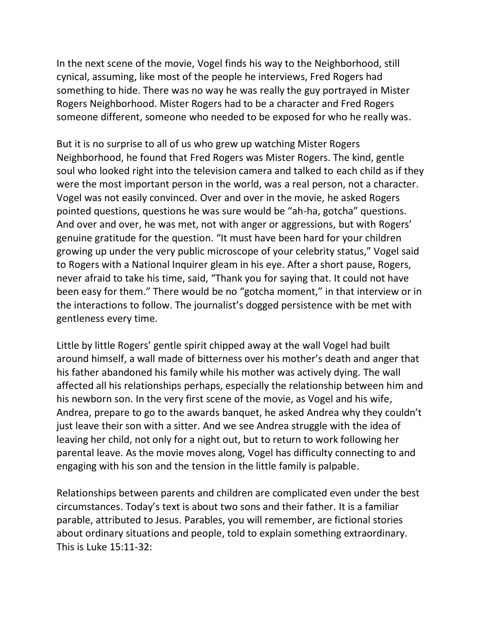In the next scene of the movie, Vogel finds his way to the Neighborhood, still cynical, assuming, like most of the people he interviews, Fred Rogers had something to hide. There was no way he was really the guy portrayed in Mister Rogers Neighborhood. Mister Rogers had to be a character and Fred Rogers someone different, someone who needed to be exposed for who he really was.

But it is no surprise to all of us who grew up watching Mister Rogers Neighborhood, he found that Fred Rogers was Mister Rogers. The kind, gentle soul who looked right into the television camera and talked to each child as if they were the most important person in the world, was a real person, not a character. Vogel was not easily convinced. Over and over in the movie, he asked Rogers pointed questions, questions he was sure would be "ah-ha, gotcha" questions. And over and over, he was met, not with anger or aggressions, but with Rogers' genuine gratitude for the question. "It must have been hard for your children growing up under the very public microscope of your celebrity status," Vogel said to Rogers with a National Inquirer gleam in his eye. After a short pause, Rogers, never afraid to take his time, said, "Thank you for saying that. It could not have been easy for them." There would be no "gotcha moment," in that interview or in the interactions to follow. The journalist's dogged persistence with be met with gentleness every time.

Little by little Rogers' gentle spirit chipped away at the wall Vogel had built around himself, a wall made of bitterness over his mother's death and anger that his father abandoned his family while his mother was actively dying. The wall affected all his relationships perhaps, especially the relationship between him and his newborn son. In the very first scene of the movie, as Vogel and his wife, Andrea, prepare to go to the awards banquet, he asked Andrea why they couldn't just leave their son with a sitter. And we see Andrea struggle with the idea of leaving her child, not only for a night out, but to return to work following her parental leave. As the movie moves along, Vogel has difficulty connecting to and engaging with his son and the tension in the little family is palpable.

Relationships between parents and children are complicated even under the best circumstances. Today's text is about two sons and their father. It is a familiar parable, attributed to Jesus. Parables, you will remember, are fictional stories about ordinary situations and people, told to explain something extraordinary. This is Luke 15:11-32: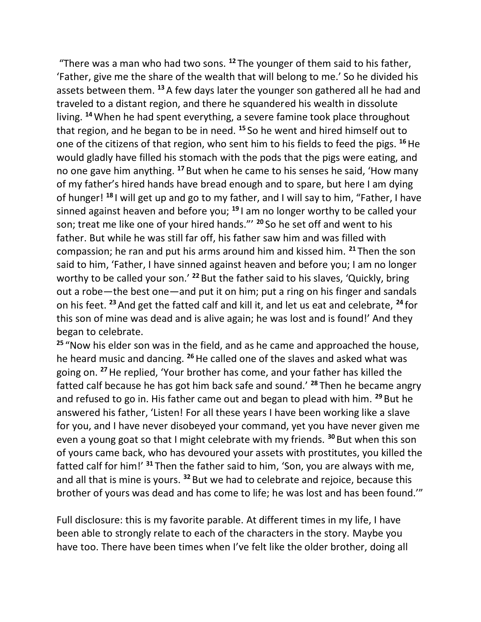"There was a man who had two sons. **<sup>12</sup>** The younger of them said to his father, 'Father, give me the share of the wealth that will belong to me.' So he divided his assets between them. **<sup>13</sup>**A few days later the younger son gathered all he had and traveled to a distant region, and there he squandered his wealth in dissolute living. **<sup>14</sup>**When he had spent everything, a severe famine took place throughout that region, and he began to be in need. **<sup>15</sup>** So he went and hired himself out to one of the citizens of that region, who sent him to his fields to feed the pigs. **<sup>16</sup>**He would gladly have filled his stomach with the pods that the pigs were eating, and no one gave him anything. **<sup>17</sup>** But when he came to his senses he said, 'How many of my father's hired hands have bread enough and to spare, but here I am dying of hunger! **<sup>18</sup>** I will get up and go to my father, and I will say to him, "Father, I have sinned against heaven and before you; **<sup>19</sup>** I am no longer worthy to be called your son; treat me like one of your hired hands."' **<sup>20</sup>** So he set off and went to his father. But while he was still far off, his father saw him and was filled with compassion; he ran and put his arms around him and kissed him. **<sup>21</sup>** Then the son said to him, 'Father, I have sinned against heaven and before you; I am no longer worthy to be called your son.' **<sup>22</sup>** But the father said to his slaves, 'Quickly, bring out a robe—the best one—and put it on him; put a ring on his finger and sandals on his feet. **<sup>23</sup>**And get the fatted calf and kill it, and let us eat and celebrate, **<sup>24</sup>** for this son of mine was dead and is alive again; he was lost and is found!' And they began to celebrate.

**<sup>25</sup>** "Now his elder son was in the field, and as he came and approached the house, he heard music and dancing. **<sup>26</sup>**He called one of the slaves and asked what was going on. **<sup>27</sup>**He replied, 'Your brother has come, and your father has killed the fatted calf because he has got him back safe and sound.' **<sup>28</sup>** Then he became angry and refused to go in. His father came out and began to plead with him. **<sup>29</sup>** But he answered his father, 'Listen! For all these years I have been working like a slave for you, and I have never disobeyed your command, yet you have never given me even a young goat so that I might celebrate with my friends. **<sup>30</sup>** But when this son of yours came back, who has devoured your assets with prostitutes, you killed the fatted calf for him!' **<sup>31</sup>** Then the father said to him, 'Son, you are always with me, and all that is mine is yours. **<sup>32</sup>** But we had to celebrate and rejoice, because this brother of yours was dead and has come to life; he was lost and has been found.'"

Full disclosure: this is my favorite parable. At different times in my life, I have been able to strongly relate to each of the characters in the story. Maybe you have too. There have been times when I've felt like the older brother, doing all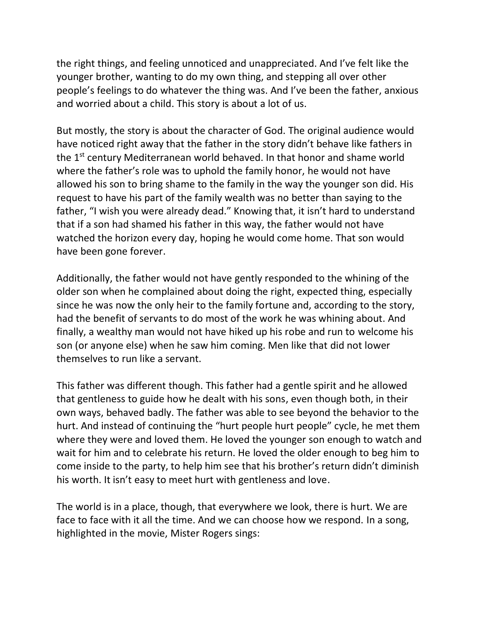the right things, and feeling unnoticed and unappreciated. And I've felt like the younger brother, wanting to do my own thing, and stepping all over other people's feelings to do whatever the thing was. And I've been the father, anxious and worried about a child. This story is about a lot of us.

But mostly, the story is about the character of God. The original audience would have noticed right away that the father in the story didn't behave like fathers in the 1<sup>st</sup> century Mediterranean world behaved. In that honor and shame world where the father's role was to uphold the family honor, he would not have allowed his son to bring shame to the family in the way the younger son did. His request to have his part of the family wealth was no better than saying to the father, "I wish you were already dead." Knowing that, it isn't hard to understand that if a son had shamed his father in this way, the father would not have watched the horizon every day, hoping he would come home. That son would have been gone forever.

Additionally, the father would not have gently responded to the whining of the older son when he complained about doing the right, expected thing, especially since he was now the only heir to the family fortune and, according to the story, had the benefit of servants to do most of the work he was whining about. And finally, a wealthy man would not have hiked up his robe and run to welcome his son (or anyone else) when he saw him coming. Men like that did not lower themselves to run like a servant.

This father was different though. This father had a gentle spirit and he allowed that gentleness to guide how he dealt with his sons, even though both, in their own ways, behaved badly. The father was able to see beyond the behavior to the hurt. And instead of continuing the "hurt people hurt people" cycle, he met them where they were and loved them. He loved the younger son enough to watch and wait for him and to celebrate his return. He loved the older enough to beg him to come inside to the party, to help him see that his brother's return didn't diminish his worth. It isn't easy to meet hurt with gentleness and love.

The world is in a place, though, that everywhere we look, there is hurt. We are face to face with it all the time. And we can choose how we respond. In a song, highlighted in the movie, Mister Rogers sings: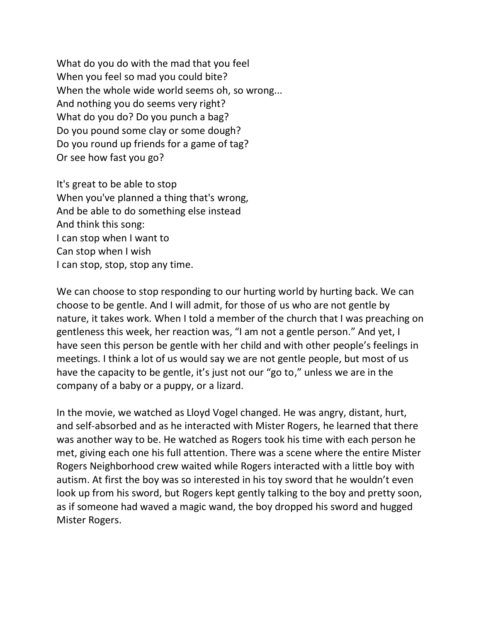What do you do with the mad that you feel When you feel so mad you could bite? When the whole wide world seems oh, so wrong... And nothing you do seems very right? What do you do? Do you punch a bag? Do you pound some clay or some dough? Do you round up friends for a game of tag? Or see how fast you go?

It's great to be able to stop When you've planned a thing that's wrong, And be able to do something else instead And think this song: I can stop when I want to Can stop when I wish I can stop, stop, stop any time.

We can choose to stop responding to our hurting world by hurting back. We can choose to be gentle. And I will admit, for those of us who are not gentle by nature, it takes work. When I told a member of the church that I was preaching on gentleness this week, her reaction was, "I am not a gentle person." And yet, I have seen this person be gentle with her child and with other people's feelings in meetings. I think a lot of us would say we are not gentle people, but most of us have the capacity to be gentle, it's just not our "go to," unless we are in the company of a baby or a puppy, or a lizard.

In the movie, we watched as Lloyd Vogel changed. He was angry, distant, hurt, and self-absorbed and as he interacted with Mister Rogers, he learned that there was another way to be. He watched as Rogers took his time with each person he met, giving each one his full attention. There was a scene where the entire Mister Rogers Neighborhood crew waited while Rogers interacted with a little boy with autism. At first the boy was so interested in his toy sword that he wouldn't even look up from his sword, but Rogers kept gently talking to the boy and pretty soon, as if someone had waved a magic wand, the boy dropped his sword and hugged Mister Rogers.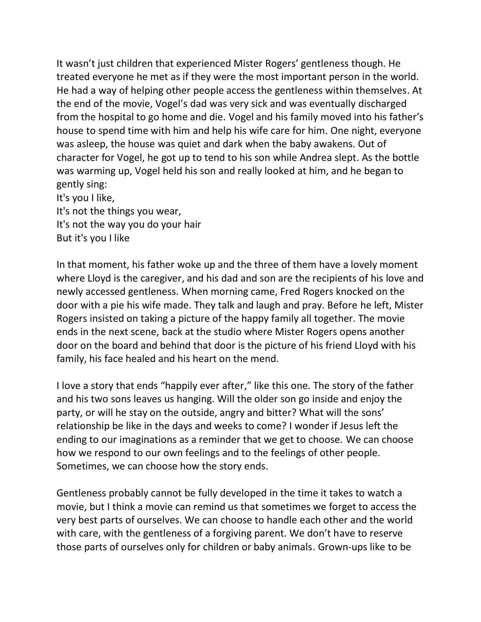It wasn't just children that experienced Mister Rogers' gentleness though. He treated everyone he met as if they were the most important person in the world. He had a way of helping other people access the gentleness within themselves. At the end of the movie, Vogel's dad was very sick and was eventually discharged from the hospital to go home and die. Vogel and his family moved into his father's house to spend time with him and help his wife care for him. One night, everyone was asleep, the house was quiet and dark when the baby awakens. Out of character for Vogel, he got up to tend to his son while Andrea slept. As the bottle was warming up, Vogel held his son and really looked at him, and he began to gently sing: It's you I like,

It's not the things you wear, It's not the way you do your hair But it's you I like

In that moment, his father woke up and the three of them have a lovely moment where Lloyd is the caregiver, and his dad and son are the recipients of his love and newly accessed gentleness. When morning came, Fred Rogers knocked on the door with a pie his wife made. They talk and laugh and pray. Before he left, Mister Rogers insisted on taking a picture of the happy family all together. The movie ends in the next scene, back at the studio where Mister Rogers opens another door on the board and behind that door is the picture of his friend Lloyd with his family, his face healed and his heart on the mend.

I love a story that ends "happily ever after," like this one. The story of the father and his two sons leaves us hanging. Will the older son go inside and enjoy the party, or will he stay on the outside, angry and bitter? What will the sons' relationship be like in the days and weeks to come? I wonder if Jesus left the ending to our imaginations as a reminder that we get to choose. We can choose how we respond to our own feelings and to the feelings of other people. Sometimes, we can choose how the story ends.

Gentleness probably cannot be fully developed in the time it takes to watch a movie, but I think a movie can remind us that sometimes we forget to access the very best parts of ourselves. We can choose to handle each other and the world with care, with the gentleness of a forgiving parent. We don't have to reserve those parts of ourselves only for children or baby animals. Grown-ups like to be